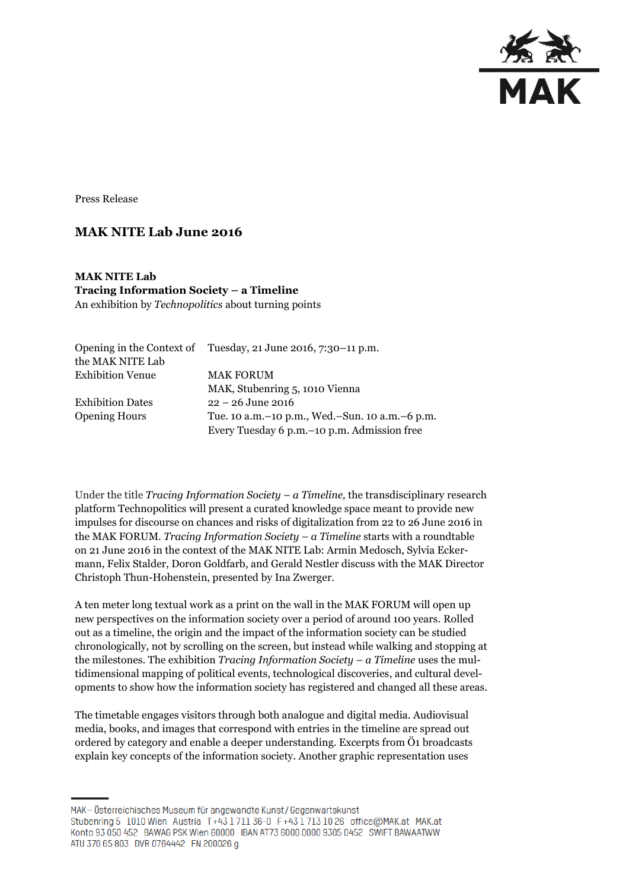

Press Release

# **MAK NITE Lab June 2016**

**MAK NITE Lab Tracing Information Society – a Timeline**  An exhibition by *Technopolitics* about turning points

|                         | Opening in the Context of Tuesday, 21 June 2016, 7:30–11 p.m. |
|-------------------------|---------------------------------------------------------------|
| the MAK NITE Lab        |                                                               |
| <b>Exhibition Venue</b> | <b>MAK FORUM</b>                                              |
|                         | MAK, Stubenring 5, 1010 Vienna                                |
| <b>Exhibition Dates</b> | $22 - 26$ June 2016                                           |
| <b>Opening Hours</b>    | Tue. 10 a.m. – 10 p.m., Wed. – Sun. 10 a.m. – 6 p.m.          |
|                         | Every Tuesday 6 p.m. - 10 p.m. Admission free                 |

Under the title *Tracing Information Society – a Timeline,* the transdisciplinary research platform Technopolitics will present a curated knowledge space meant to provide new impulses for discourse on chances and risks of digitalization from 22 to 26 June 2016 in the MAK FORUM. *Tracing Information Society – a Timeline* starts with a roundtable on 21 June 2016 in the context of the MAK NITE Lab: Armin Medosch, Sylvia Eckermann, Felix Stalder, Doron Goldfarb, and Gerald Nestler discuss with the MAK Director Christoph Thun-Hohenstein, presented by Ina Zwerger.

A ten meter long textual work as a print on the wall in the MAK FORUM will open up new perspectives on the information society over a period of around 100 years. Rolled out as a timeline, the origin and the impact of the information society can be studied chronologically, not by scrolling on the screen, but instead while walking and stopping at the milestones. The exhibition *Tracing Information Society – a Timeline* uses the multidimensional mapping of political events, technological discoveries, and cultural developments to show how the information society has registered and changed all these areas.

The timetable engages visitors through both analogue and digital media. Audiovisual media, books, and images that correspond with entries in the timeline are spread out ordered by category and enable a deeper understanding. Excerpts from Ö1 broadcasts explain key concepts of the information society. Another graphic representation uses

MAK - Österreichisches Museum für angewandte Kunst/Gegenwartskunst Stubenring 5 1010 Wien Austria T+43 1 711 36-0 F+43 1 713 10 26 office@MAK.at MAK.at Konto 93 050 452 BAWAG PSK Wien 60000 IBAN AT73 6000 0000 9305 0452 SWIFT BAWAATWW ATU 370 65 803 DVR 0764442 FN 200026 g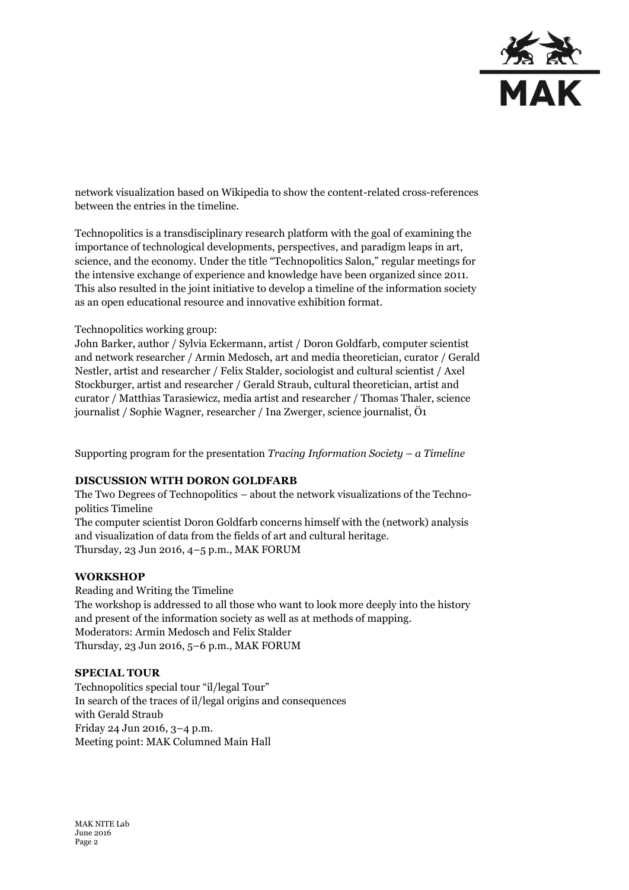

network visualization based on Wikipedia to show the content-related cross-references between the entries in the timeline.

Technopolitics is a transdisciplinary research platform with the goal of examining the importance of technological developments, perspectives, and paradigm leaps in art, science, and the economy. Under the title "Technopolitics Salon," regular meetings for the intensive exchange of experience and knowledge have been organized since 2011. This also resulted in the joint initiative to develop a timeline of the information society as an open educational resource and innovative exhibition format.

### Technopolitics working group:

John Barker, author / Sylvia Eckermann, artist / Doron Goldfarb, computer scientist and network researcher / Armin Medosch, art and media theoretician, curator / Gerald Nestler, artist and researcher / Felix Stalder, sociologist and cultural scientist / Axel Stockburger, artist and researcher / Gerald Straub, cultural theoretician, artist and curator / Matthias Tarasiewicz, media artist and researcher / Thomas Thaler, science journalist / Sophie Wagner, researcher / Ina Zwerger, science journalist, Ö1

Supporting program for the presentation *Tracing Information Society – a Timeline*

## **DISCUSSION WITH DORON GOLDFARB**

The Two Degrees of Technopolitics – about the network visualizations of the Technopolitics Timeline

The computer scientist Doron Goldfarb concerns himself with the (network) analysis and visualization of data from the fields of art and cultural heritage. Thursday, 23 Jun 2016, 4–5 p.m., MAK FORUM

#### **WORKSHOP**

Reading and Writing the Timeline The workshop is addressed to all those who want to look more deeply into the history and present of the information society as well as at methods of mapping. Moderators: Armin Medosch and Felix Stalder Thursday, 23 Jun 2016, 5–6 p.m., MAK FORUM

#### **SPECIAL TOUR**

Technopolitics special tour "il/legal Tour" In search of the traces of il/legal origins and consequences with Gerald Straub Friday 24 Jun 2016, 3–4 p.m. Meeting point: MAK Columned Main Hall